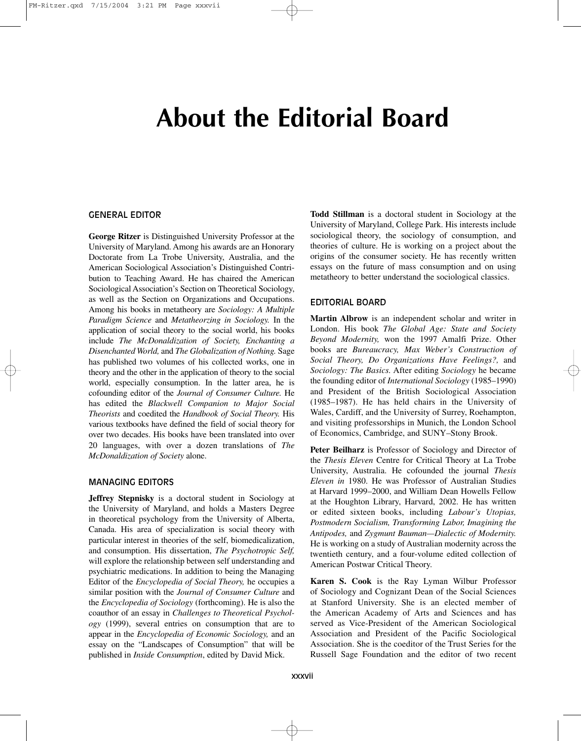# **About the Editorial Board**

#### GENERAL EDITOR

**George Ritzer** is Distinguished University Professor at the University of Maryland. Among his awards are an Honorary Doctorate from La Trobe University, Australia, and the American Sociological Association's Distinguished Contribution to Teaching Award. He has chaired the American Sociological Association's Section on Theoretical Sociology, as well as the Section on Organizations and Occupations. Among his books in metatheory are *Sociology: A Multiple Paradigm Science* and *Metatheorzing in Sociology.* In the application of social theory to the social world, his books include *The McDonaldization of Society, Enchanting a Disenchanted World,* and *The Globalization of Nothing.* Sage has published two volumes of his collected works, one in theory and the other in the application of theory to the social world, especially consumption. In the latter area, he is cofounding editor of the *Journal of Consumer Culture.* He has edited the *Blackwell Companion to Major Social Theorists* and coedited the *Handbook of Social Theory.* His various textbooks have defined the field of social theory for over two decades. His books have been translated into over 20 languages, with over a dozen translations of *The McDonaldization of Society* alone.

### MANAGING EDITORS

**Jeffrey Stepnisky** is a doctoral student in Sociology at the University of Maryland, and holds a Masters Degree in theoretical psychology from the University of Alberta, Canada. His area of specialization is social theory with particular interest in theories of the self, biomedicalization, and consumption. His dissertation, *The Psychotropic Self,* will explore the relationship between self understanding and psychiatric medications. In addition to being the Managing Editor of the *Encyclopedia of Social Theory,* he occupies a similar position with the *Journal of Consumer Culture* and the *Encyclopedia of Sociology* (forthcoming). He is also the coauthor of an essay in *Challenges to Theoretical Psychology* (1999), several entries on consumption that are to appear in the *Encyclopedia of Economic Sociology,* and an essay on the "Landscapes of Consumption" that will be published in *Inside Consumption*, edited by David Mick.

**Todd Stillman** is a doctoral student in Sociology at the University of Maryland, College Park. His interests include sociological theory, the sociology of consumption, and theories of culture. He is working on a project about the origins of the consumer society. He has recently written essays on the future of mass consumption and on using metatheory to better understand the sociological classics.

## EDITORIAL BOARD

**Martin Albrow** is an independent scholar and writer in London. His book *The Global Age: State and Society Beyond Modernity,* won the 1997 Amalfi Prize. Other books are *Bureaucracy, Max Weber's Construction of Social Theory, Do Organizations Have Feelings?,* and *Sociology: The Basics.* After editing *Sociology* he became the founding editor of *International Sociology* (1985–1990) and President of the British Sociological Association (1985–1987). He has held chairs in the University of Wales, Cardiff, and the University of Surrey, Roehampton, and visiting professorships in Munich, the London School of Economics, Cambridge, and SUNY–Stony Brook.

**Peter Beilharz** is Professor of Sociology and Director of the *Thesis Eleven* Centre for Critical Theory at La Trobe University, Australia. He cofounded the journal *Thesis Eleven in* 1980. He was Professor of Australian Studies at Harvard 1999–2000, and William Dean Howells Fellow at the Houghton Library, Harvard, 2002. He has written or edited sixteen books, including *Labour's Utopias, Postmodern Socialism, Transforming Labor, Imagining the Antipodes,* and *Zygmunt Bauman—Dialectic of Modernity.* He is working on a study of Australian modernity across the twentieth century, and a four-volume edited collection of American Postwar Critical Theory.

**Karen S. Cook** is the Ray Lyman Wilbur Professor of Sociology and Cognizant Dean of the Social Sciences at Stanford University. She is an elected member of the American Academy of Arts and Sciences and has served as Vice-President of the American Sociological Association and President of the Pacific Sociological Association. She is the coeditor of the Trust Series for the Russell Sage Foundation and the editor of two recent